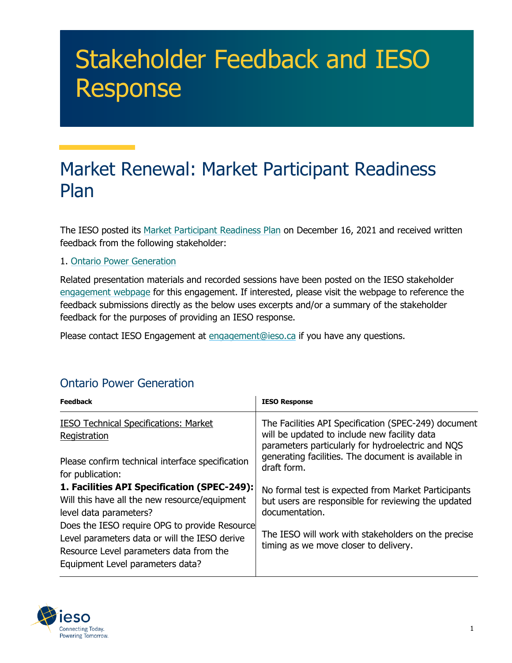## Stakeholder Feedback and IESO Response

## Market Renewal: Market Participant Readiness Plan

The IESO posted its [Market Participant Readiness Plan](https://www.ieso.ca/-/media/Files/IESO/Document-Library/engage/imrm/imrm-20211216-market-participant-readiness-plan.ashx) on December 16, 2021 and received written feedback from the following stakeholder:

## 1. [Ontario Power Generation](https://ieso.ca/-/media/Files/IESO/Document-Library/engage/imrm/imrm-20220317-ontario-power-generation.ashx)

Related presentation materials and recorded sessions have been posted on the IESO stakeholder [engagement webpage](https://ieso.ca/en/Market-Renewal/Stakeholder-Engagements/Implementation-Engagement-Market-Rules-and-Market-Manuals) for this engagement. If interested, please visit the webpage to reference the feedback submissions directly as the below uses excerpts and/or a summary of the stakeholder feedback for the purposes of providing an IESO response.

Please contact IESO Engagement at [engagement@ieso.ca](mailto:engagement@ieso.ca) if you have any questions.

## Ontario Power Generation

| <b>Feedback</b>                                                                                                                                                         | <b>IESO Response</b>                                                                                                                                      |
|-------------------------------------------------------------------------------------------------------------------------------------------------------------------------|-----------------------------------------------------------------------------------------------------------------------------------------------------------|
| <b>IESO Technical Specifications: Market</b><br>Registration                                                                                                            | The Facilities API Specification (SPEC-249) document<br>will be updated to include new facility data<br>parameters particularly for hydroelectric and NQS |
| Please confirm technical interface specification<br>for publication:                                                                                                    | generating facilities. The document is available in<br>draft form.                                                                                        |
| 1. Facilities API Specification (SPEC-249):<br>Will this have all the new resource/equipment<br>level data parameters?<br>Does the IESO require OPG to provide Resource | No formal test is expected from Market Participants<br>but users are responsible for reviewing the updated<br>documentation.                              |
| Level parameters data or will the IESO derive<br>Resource Level parameters data from the<br>Equipment Level parameters data?                                            | The IESO will work with stakeholders on the precise<br>timing as we move closer to delivery.                                                              |

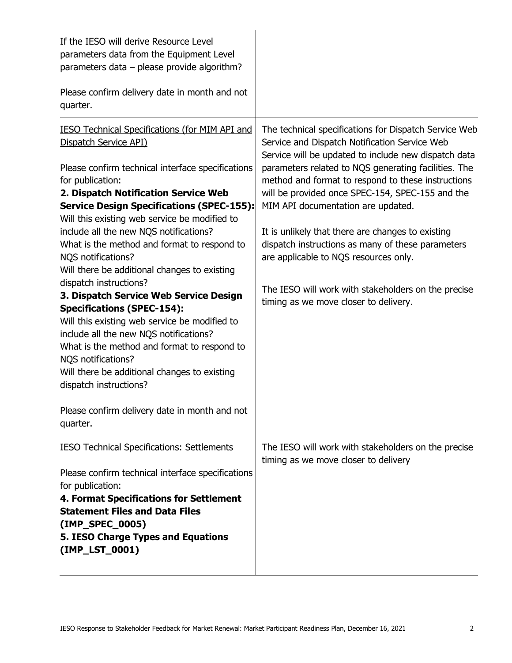| If the IESO will derive Resource Level<br>parameters data from the Equipment Level<br>parameters data - please provide algorithm?<br>Please confirm delivery date in month and not<br>quarter.                                                                                                                                                                                                                                                                                                                                                                                                                                                                                                                                                                                                                                                                                      |                                                                                                                                                                                                                                                                                                                                                                                                                                                                                                                                                                                                                           |
|-------------------------------------------------------------------------------------------------------------------------------------------------------------------------------------------------------------------------------------------------------------------------------------------------------------------------------------------------------------------------------------------------------------------------------------------------------------------------------------------------------------------------------------------------------------------------------------------------------------------------------------------------------------------------------------------------------------------------------------------------------------------------------------------------------------------------------------------------------------------------------------|---------------------------------------------------------------------------------------------------------------------------------------------------------------------------------------------------------------------------------------------------------------------------------------------------------------------------------------------------------------------------------------------------------------------------------------------------------------------------------------------------------------------------------------------------------------------------------------------------------------------------|
| <b>IESO Technical Specifications (for MIM API and</b><br>Dispatch Service API)<br>Please confirm technical interface specifications<br>for publication:<br>2. Dispatch Notification Service Web<br><b>Service Design Specifications (SPEC-155):</b><br>Will this existing web service be modified to<br>include all the new NQS notifications?<br>What is the method and format to respond to<br>NQS notifications?<br>Will there be additional changes to existing<br>dispatch instructions?<br>3. Dispatch Service Web Service Design<br><b>Specifications (SPEC-154):</b><br>Will this existing web service be modified to<br>include all the new NQS notifications?<br>What is the method and format to respond to<br>NQS notifications?<br>Will there be additional changes to existing<br>dispatch instructions?<br>Please confirm delivery date in month and not<br>quarter. | The technical specifications for Dispatch Service Web<br>Service and Dispatch Notification Service Web<br>Service will be updated to include new dispatch data<br>parameters related to NQS generating facilities. The<br>method and format to respond to these instructions<br>will be provided once SPEC-154, SPEC-155 and the<br>MIM API documentation are updated.<br>It is unlikely that there are changes to existing<br>dispatch instructions as many of these parameters<br>are applicable to NQS resources only.<br>The IESO will work with stakeholders on the precise<br>timing as we move closer to delivery. |
| <b>IESO Technical Specifications: Settlements</b><br>Please confirm technical interface specifications<br>for publication:<br>4. Format Specifications for Settlement<br><b>Statement Files and Data Files</b><br>(IMP_SPEC_0005)<br>5. IESO Charge Types and Equations<br>(IMP_LST_0001)                                                                                                                                                                                                                                                                                                                                                                                                                                                                                                                                                                                           | The IESO will work with stakeholders on the precise<br>timing as we move closer to delivery                                                                                                                                                                                                                                                                                                                                                                                                                                                                                                                               |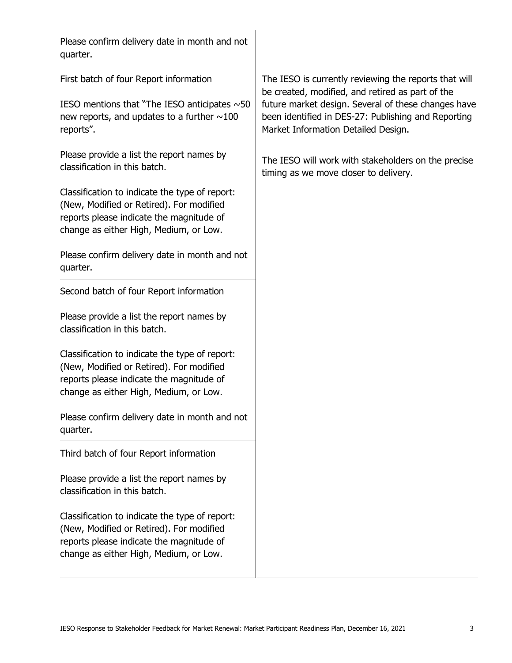| Please confirm delivery date in month and not<br>quarter.                                                                                                                        |                                                                                                                                                                                                                                                                |
|----------------------------------------------------------------------------------------------------------------------------------------------------------------------------------|----------------------------------------------------------------------------------------------------------------------------------------------------------------------------------------------------------------------------------------------------------------|
| First batch of four Report information<br>IESO mentions that "The IESO anticipates $\sim$ 50<br>new reports, and updates to a further $\sim$ 100<br>reports".                    | The IESO is currently reviewing the reports that will<br>be created, modified, and retired as part of the<br>future market design. Several of these changes have<br>been identified in DES-27: Publishing and Reporting<br>Market Information Detailed Design. |
| Please provide a list the report names by<br>classification in this batch.                                                                                                       | The IESO will work with stakeholders on the precise<br>timing as we move closer to delivery.                                                                                                                                                                   |
| Classification to indicate the type of report:<br>(New, Modified or Retired). For modified<br>reports please indicate the magnitude of<br>change as either High, Medium, or Low. |                                                                                                                                                                                                                                                                |
| Please confirm delivery date in month and not<br>quarter.                                                                                                                        |                                                                                                                                                                                                                                                                |
| Second batch of four Report information                                                                                                                                          |                                                                                                                                                                                                                                                                |
| Please provide a list the report names by<br>classification in this batch.                                                                                                       |                                                                                                                                                                                                                                                                |
| Classification to indicate the type of report:<br>(New, Modified or Retired). For modified<br>reports please indicate the magnitude of<br>change as either High, Medium, or Low. |                                                                                                                                                                                                                                                                |
| Please confirm delivery date in month and not<br>quarter.                                                                                                                        |                                                                                                                                                                                                                                                                |
| Third batch of four Report information                                                                                                                                           |                                                                                                                                                                                                                                                                |
| Please provide a list the report names by<br>classification in this batch.                                                                                                       |                                                                                                                                                                                                                                                                |
| Classification to indicate the type of report:<br>(New, Modified or Retired). For modified<br>reports please indicate the magnitude of<br>change as either High, Medium, or Low. |                                                                                                                                                                                                                                                                |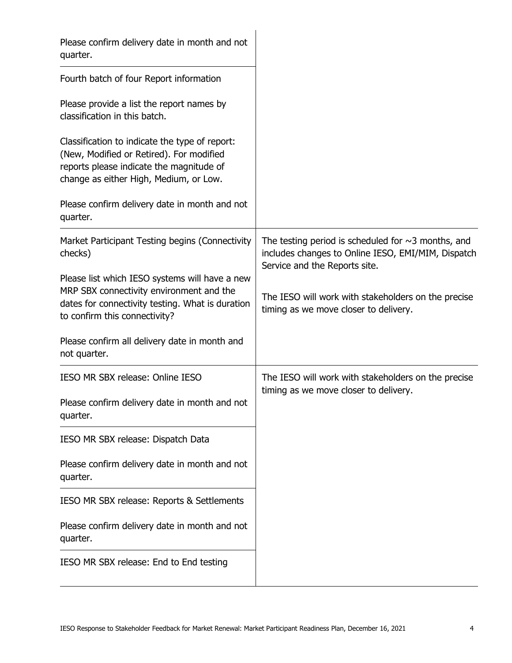| Please confirm delivery date in month and not<br>quarter.                                                                                                                        |                                                                                                                                                 |
|----------------------------------------------------------------------------------------------------------------------------------------------------------------------------------|-------------------------------------------------------------------------------------------------------------------------------------------------|
| Fourth batch of four Report information                                                                                                                                          |                                                                                                                                                 |
| Please provide a list the report names by<br>classification in this batch.                                                                                                       |                                                                                                                                                 |
| Classification to indicate the type of report:<br>(New, Modified or Retired). For modified<br>reports please indicate the magnitude of<br>change as either High, Medium, or Low. |                                                                                                                                                 |
| Please confirm delivery date in month and not<br>quarter.                                                                                                                        |                                                                                                                                                 |
| Market Participant Testing begins (Connectivity<br>checks)                                                                                                                       | The testing period is scheduled for $\sim$ 3 months, and<br>includes changes to Online IESO, EMI/MIM, Dispatch<br>Service and the Reports site. |
| Please list which IESO systems will have a new<br>MRP SBX connectivity environment and the<br>dates for connectivity testing. What is duration<br>to confirm this connectivity?  | The IESO will work with stakeholders on the precise<br>timing as we move closer to delivery.                                                    |
| Please confirm all delivery date in month and<br>not quarter.                                                                                                                    |                                                                                                                                                 |
| IESO MR SBX release: Online IESO                                                                                                                                                 | The IESO will work with stakeholders on the precise<br>timing as we move closer to delivery.                                                    |
| Please confirm delivery date in month and not<br>quarter.                                                                                                                        |                                                                                                                                                 |
| IESO MR SBX release: Dispatch Data                                                                                                                                               |                                                                                                                                                 |
| Please confirm delivery date in month and not<br>quarter.                                                                                                                        |                                                                                                                                                 |
| IESO MR SBX release: Reports & Settlements                                                                                                                                       |                                                                                                                                                 |
| Please confirm delivery date in month and not<br>quarter.                                                                                                                        |                                                                                                                                                 |
| IESO MR SBX release: End to End testing                                                                                                                                          |                                                                                                                                                 |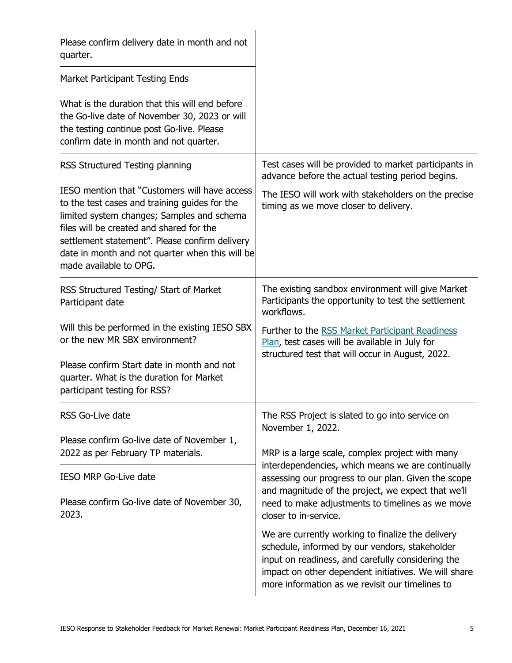| Please confirm delivery date in month and not<br>quarter.                                                                                                                                                                                                                                                               |                                                                                                                                                                                                                                                                     |
|-------------------------------------------------------------------------------------------------------------------------------------------------------------------------------------------------------------------------------------------------------------------------------------------------------------------------|---------------------------------------------------------------------------------------------------------------------------------------------------------------------------------------------------------------------------------------------------------------------|
| <b>Market Participant Testing Ends</b>                                                                                                                                                                                                                                                                                  |                                                                                                                                                                                                                                                                     |
| What is the duration that this will end before<br>the Go-live date of November 30, 2023 or will<br>the testing continue post Go-live. Please<br>confirm date in month and not quarter.                                                                                                                                  |                                                                                                                                                                                                                                                                     |
| RSS Structured Testing planning                                                                                                                                                                                                                                                                                         | Test cases will be provided to market participants in<br>advance before the actual testing period begins.                                                                                                                                                           |
| IESO mention that "Customers will have access<br>to the test cases and training quides for the<br>limited system changes; Samples and schema<br>files will be created and shared for the<br>settlement statement". Please confirm delivery<br>date in month and not quarter when this will be<br>made available to OPG. | The IESO will work with stakeholders on the precise<br>timing as we move closer to delivery.                                                                                                                                                                        |
| RSS Structured Testing/ Start of Market<br>Participant date                                                                                                                                                                                                                                                             | The existing sandbox environment will give Market<br>Participants the opportunity to test the settlement<br>workflows.                                                                                                                                              |
| Will this be performed in the existing IESO SBX<br>or the new MR SBX environment?                                                                                                                                                                                                                                       | Further to the RSS Market Participant Readiness<br>Plan, test cases will be available in July for<br>structured test that will occur in August, 2022.                                                                                                               |
| Please confirm Start date in month and not<br>quarter. What is the duration for Market<br>participant testing for RSS?                                                                                                                                                                                                  |                                                                                                                                                                                                                                                                     |
| RSS Go-Live date                                                                                                                                                                                                                                                                                                        | The RSS Project is slated to go into service on<br>November 1, 2022.                                                                                                                                                                                                |
| Please confirm Go-live date of November 1,<br>2022 as per February TP materials.                                                                                                                                                                                                                                        | MRP is a large scale, complex project with many                                                                                                                                                                                                                     |
| <b>IESO MRP Go-Live date</b>                                                                                                                                                                                                                                                                                            | interdependencies, which means we are continually<br>assessing our progress to our plan. Given the scope                                                                                                                                                            |
| Please confirm Go-live date of November 30,<br>2023.                                                                                                                                                                                                                                                                    | and magnitude of the project, we expect that we'll<br>need to make adjustments to timelines as we move<br>closer to in-service.                                                                                                                                     |
|                                                                                                                                                                                                                                                                                                                         | We are currently working to finalize the delivery<br>schedule, informed by our vendors, stakeholder<br>input on readiness, and carefully considering the<br>impact on other dependent initiatives. We will share<br>more information as we revisit our timelines to |